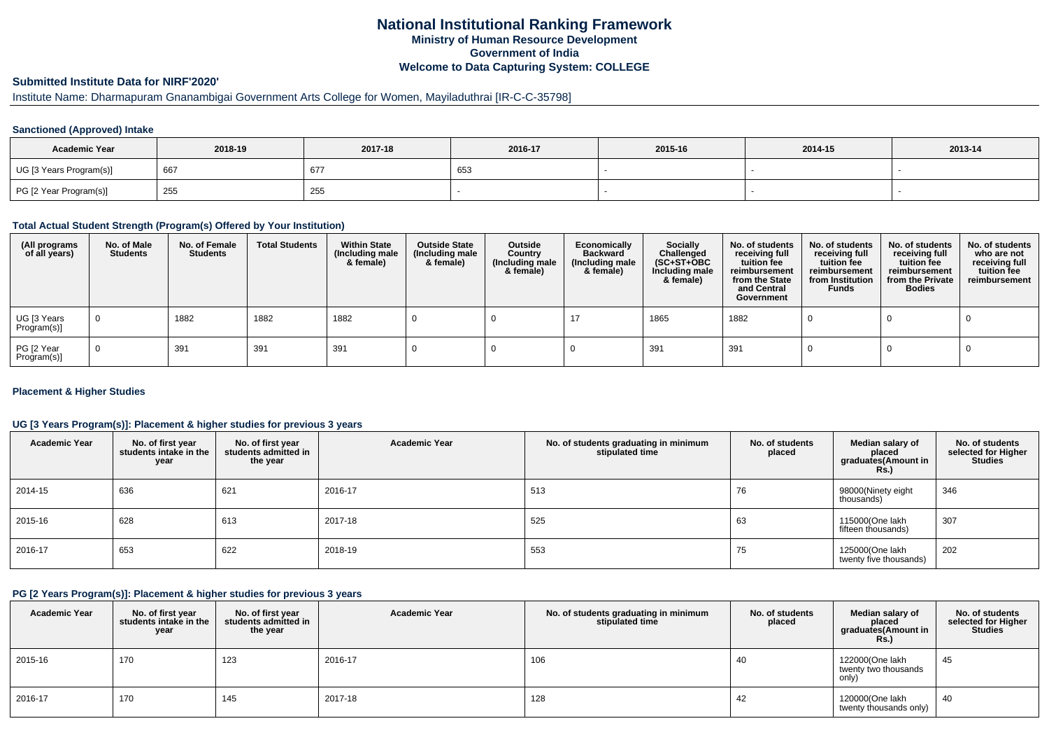## **National Institutional Ranking FrameworkMinistry of Human Resource DevelopmentGovernment of IndiaWelcome to Data Capturing System: COLLEGE**

# **Submitted Institute Data for NIRF'2020'**

# Institute Name: Dharmapuram Gnanambigai Government Arts College for Women, Mayiladuthrai [IR-C-C-35798]

### **Sanctioned (Approved) Intake**

| <b>Academic Year</b>    | 2018-19 | 2017-18 | 2016-17 | 2015-16 | 2014-15 | 2013-14 |
|-------------------------|---------|---------|---------|---------|---------|---------|
| UG [3 Years Program(s)] | 667     | 677     | ່ວວະ    |         |         |         |
| PG [2 Year Program(s)]  | 255     | 255     |         |         |         |         |

#### **Total Actual Student Strength (Program(s) Offered by Your Institution)**

| (All programs<br>of all years) | No. of Male<br><b>Students</b> | No. of Female<br><b>Students</b> | <b>Total Students</b> | <b>Within State</b><br>(Including male<br>& female) | <b>Outside State</b><br>(Including male<br>& female) | Outside<br>Country<br>(Including male<br>& female) | Economically<br><b>Backward</b><br>(Including male<br>& female) | <b>Socially</b><br>Challenged<br>$(SC+ST+OBC)$<br>Including male<br>& female) | No. of students<br>receiving full<br>tuition fee<br>reimbursement<br>from the State<br>and Central<br>Government | No. of students<br>receiving full<br>tuition fee<br>reimbursement<br>from Institution<br><b>Funds</b> | No. of students<br>receiving full<br>tuition fee<br>reimbursement<br>from the Private<br><b>Bodies</b> | No. of students<br>who are not<br>receiving full<br>tuition fee<br>reimbursement |
|--------------------------------|--------------------------------|----------------------------------|-----------------------|-----------------------------------------------------|------------------------------------------------------|----------------------------------------------------|-----------------------------------------------------------------|-------------------------------------------------------------------------------|------------------------------------------------------------------------------------------------------------------|-------------------------------------------------------------------------------------------------------|--------------------------------------------------------------------------------------------------------|----------------------------------------------------------------------------------|
| UG [3 Years<br>Program(s)]     | $\overline{0}$                 | 1882                             | 1882                  | 1882                                                |                                                      |                                                    |                                                                 | 1865                                                                          | 1882                                                                                                             |                                                                                                       |                                                                                                        |                                                                                  |
| PG [2 Year<br>Program(s)]      | $\Omega$                       | 391                              | 391                   | 391                                                 |                                                      |                                                    |                                                                 | 391                                                                           | 391                                                                                                              |                                                                                                       |                                                                                                        |                                                                                  |

### **Placement & Higher Studies**

### **UG [3 Years Program(s)]: Placement & higher studies for previous 3 years**

| <b>Academic Year</b> | No. of first year<br>students intake in the<br>year | No. of first year<br>students admitted in<br>the year | <b>Academic Year</b> | No. of students graduating in minimum<br>stipulated time | No. of students<br>placed | Median salary of<br>placed<br>graduates(Amount in<br><b>Rs.)</b> | No. of students<br>selected for Higher<br><b>Studies</b> |
|----------------------|-----------------------------------------------------|-------------------------------------------------------|----------------------|----------------------------------------------------------|---------------------------|------------------------------------------------------------------|----------------------------------------------------------|
| 2014-15              | 636                                                 | 621                                                   | 2016-17              | 513                                                      | 76                        | 98000(Ninety eight<br>thousands)                                 | 346                                                      |
| 2015-16              | 628                                                 | 613                                                   | 2017-18              | 525                                                      | 63                        | 115000(One lakh<br>fifteen thousands)                            | 307                                                      |
| 2016-17              | 653                                                 | 622                                                   | 2018-19              | 553                                                      | 75                        | 125000(One lakh<br>twenty five thousands)                        | 202                                                      |

#### **PG [2 Years Program(s)]: Placement & higher studies for previous 3 years**

| <b>Academic Year</b> | No. of first year<br>students intake in the<br>year | No. of first vear<br>students admitted in<br>the year | <b>Academic Year</b> | No. of students graduating in minimum<br>stipulated time | No. of students<br>placed | Median salary of<br>placed<br>graduates(Amount in<br><b>Rs.)</b> | No. of students<br>selected for Higher<br><b>Studies</b> |
|----------------------|-----------------------------------------------------|-------------------------------------------------------|----------------------|----------------------------------------------------------|---------------------------|------------------------------------------------------------------|----------------------------------------------------------|
| 2015-16              | 170                                                 | 123                                                   | 2016-17              | 106                                                      | 40                        | 122000(One lakh<br>twenty two thousands<br>only)                 | 45                                                       |
| 2016-17              | 170                                                 | 145                                                   | 2017-18              | 128                                                      | 42                        | 120000(One lakh<br>twenty thousands only)                        | 40                                                       |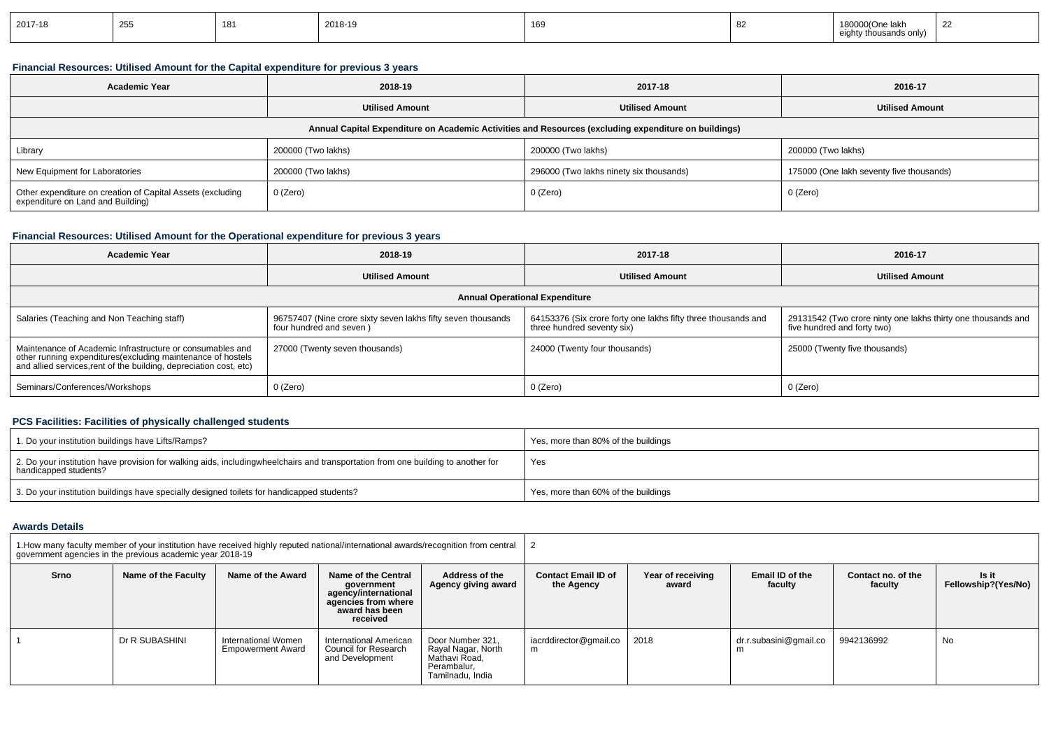| 2017-18 | OEL<br>້ | 181 | 2018-19 | 169 |  | uurone<br>э так<br>'isands only) | $\sim$ |
|---------|----------|-----|---------|-----|--|----------------------------------|--------|
|---------|----------|-----|---------|-----|--|----------------------------------|--------|

### **Financial Resources: Utilised Amount for the Capital expenditure for previous 3 years**

| <b>Academic Year</b>                                                                                 | 2018-19                |                                         | 2016-17                                  |  |  |  |
|------------------------------------------------------------------------------------------------------|------------------------|-----------------------------------------|------------------------------------------|--|--|--|
|                                                                                                      | <b>Utilised Amount</b> | <b>Utilised Amount</b>                  | <b>Utilised Amount</b>                   |  |  |  |
| Annual Capital Expenditure on Academic Activities and Resources (excluding expenditure on buildings) |                        |                                         |                                          |  |  |  |
| Library                                                                                              | 200000 (Two lakhs)     | 200000 (Two lakhs)                      | 200000 (Two lakhs)                       |  |  |  |
| New Equipment for Laboratories                                                                       | 200000 (Two lakhs)     | 296000 (Two lakhs ninety six thousands) | 175000 (One lakh seventy five thousands) |  |  |  |
| Other expenditure on creation of Capital Assets (excluding<br>expenditure on Land and Building)      | 0 (Zero)               | 0 (Zero)                                | 0 (Zero)                                 |  |  |  |

# **Financial Resources: Utilised Amount for the Operational expenditure for previous 3 years**

| <b>Academic Year</b>                                                                                                                                                                           | 2018-19                                                                                 | 2017-18                                                                                     | 2016-17                                                                                     |  |  |  |  |
|------------------------------------------------------------------------------------------------------------------------------------------------------------------------------------------------|-----------------------------------------------------------------------------------------|---------------------------------------------------------------------------------------------|---------------------------------------------------------------------------------------------|--|--|--|--|
|                                                                                                                                                                                                | <b>Utilised Amount</b>                                                                  | <b>Utilised Amount</b>                                                                      | <b>Utilised Amount</b>                                                                      |  |  |  |  |
| <b>Annual Operational Expenditure</b>                                                                                                                                                          |                                                                                         |                                                                                             |                                                                                             |  |  |  |  |
| Salaries (Teaching and Non Teaching staff)                                                                                                                                                     | 96757407 (Nine crore sixty seven lakhs fifty seven thousands<br>four hundred and seven) | 64153376 (Six crore forty one lakhs fifty three thousands and<br>three hundred seventy six) | 29131542 (Two crore ninty one lakhs thirty one thousands and<br>five hundred and forty two) |  |  |  |  |
| Maintenance of Academic Infrastructure or consumables and<br>other running expenditures(excluding maintenance of hostels<br>and allied services, rent of the building, depreciation cost, etc) | 27000 (Twenty seven thousands)                                                          | 24000 (Twenty four thousands)                                                               | 25000 (Twenty five thousands)                                                               |  |  |  |  |
| Seminars/Conferences/Workshops                                                                                                                                                                 | $0$ (Zero)                                                                              | 0 (Zero)                                                                                    | 0 (Zero)                                                                                    |  |  |  |  |

## **PCS Facilities: Facilities of physically challenged students**

| 1. Do your institution buildings have Lifts/Ramps?                                                                                                        | Yes, more than 80% of the buildings |
|-----------------------------------------------------------------------------------------------------------------------------------------------------------|-------------------------------------|
| 2. Do your institution have provision for walking aids, includingwheelchairs and transportation from one building to another for<br>handicapped students? | Yes                                 |
| 3. Do your institution buildings have specially designed toilets for handicapped students?                                                                | Yes, more than 60% of the buildings |

### **Awards Details**

| 1. How many faculty member of your institution have received highly reputed national/international awards/recognition from central<br>government agencies in the previous academic year 2018-19 |                     |                                                 |                                                                                                                |                                                                                            |                                          |                            |                             |                               |                              |
|-------------------------------------------------------------------------------------------------------------------------------------------------------------------------------------------------|---------------------|-------------------------------------------------|----------------------------------------------------------------------------------------------------------------|--------------------------------------------------------------------------------------------|------------------------------------------|----------------------------|-----------------------------|-------------------------------|------------------------------|
| Srno                                                                                                                                                                                            | Name of the Faculty | Name of the Award                               | Name of the Central<br>government<br>agency/international<br>agencies from where<br>award has been<br>received | Address of the<br>Agency giving award                                                      | <b>Contact Email ID of</b><br>the Agency | Year of receiving<br>award | Email ID of the<br>faculty  | Contact no. of the<br>faculty | ls it<br>Fellowship?(Yes/No) |
|                                                                                                                                                                                                 | Dr R SUBASHINI      | International Women<br><b>Empowerment Award</b> | International American<br>Council for Research<br>and Development                                              | Door Number 321,<br>Rayal Nagar, North<br>Mathavi Road.<br>Perambalur,<br>Tamilnadu, India | iacrddirector@gmail.co<br>m              | 2018                       | dr.r.subasini@gmail.co<br>m | 9942136992                    | No                           |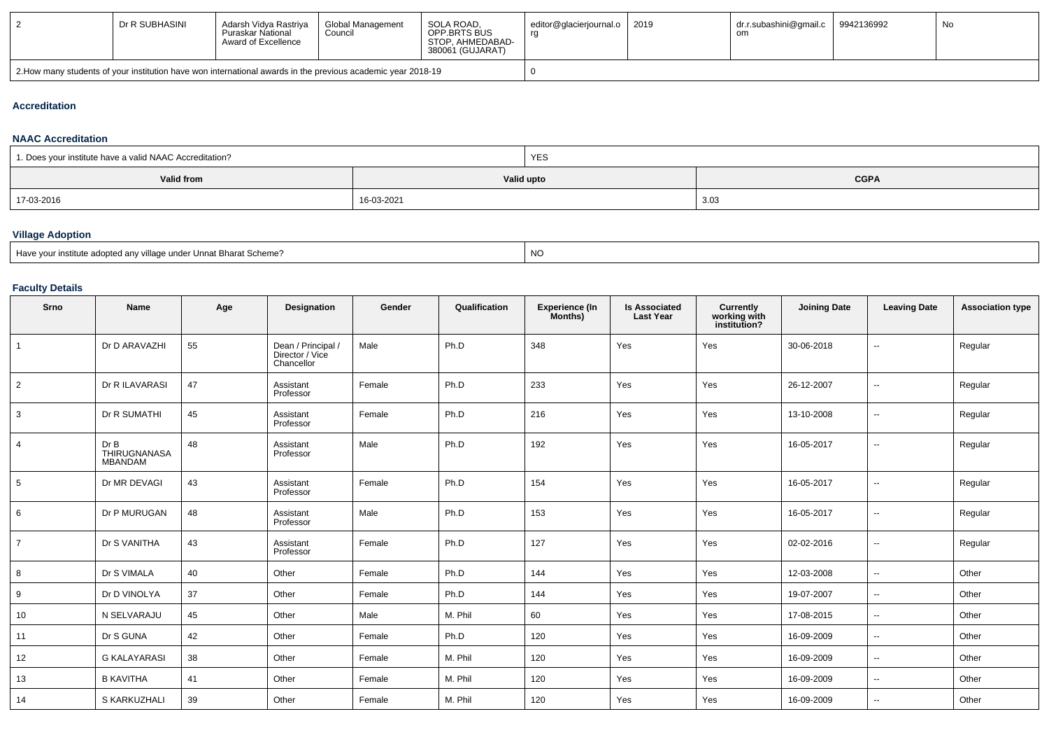|                                                                                                                         | Dr R SUBHASINI | Adarsh Vidya Rastriya<br>Puraskar National<br>Award of Excellence | Global Management<br>Council | SOLA ROAD.<br>OPP BRTS BUS<br>STOP. AHMEDABAD-<br>380061 (GUJARAT) | editor@glacierjournal.o   2019 | dr.r.subashini@gmail.c<br>ΟH | 9942136992 | No |
|-------------------------------------------------------------------------------------------------------------------------|----------------|-------------------------------------------------------------------|------------------------------|--------------------------------------------------------------------|--------------------------------|------------------------------|------------|----|
| 2. 2018-19 2. How many students of your institution have won international awards in the previous academic year 2018-19 |                |                                                                   |                              |                                                                    |                                |                              |            |    |

#### **Accreditation**

#### **NAAC Accreditation**

| 1. Does your institute have a valid NAAC Accreditation? |            | <b>YES</b> |             |
|---------------------------------------------------------|------------|------------|-------------|
| Valid from                                              |            | Valid upto | <b>CGPA</b> |
| 17-03-2016                                              | 16-03-2021 |            | 3.03        |

## **Village Adoption**

| Have<br><sup>*</sup> Unnat Bharat Scheme?<br>our institute adopted anv village under Ur | <b>NC</b> |
|-----------------------------------------------------------------------------------------|-----------|
|-----------------------------------------------------------------------------------------|-----------|

## **Faculty Details**

| Srno           | Name                            | Age | Designation                                         | Gender | Qualification | <b>Experience (In</b><br>Months) | <b>Is Associated</b><br><b>Last Year</b> | Currently<br>working with<br>institution? | <b>Joining Date</b> | <b>Leaving Date</b>      | <b>Association type</b> |
|----------------|---------------------------------|-----|-----------------------------------------------------|--------|---------------|----------------------------------|------------------------------------------|-------------------------------------------|---------------------|--------------------------|-------------------------|
| $\mathbf{1}$   | Dr D ARAVAZHI                   | 55  | Dean / Principal /<br>Director / Vice<br>Chancellor | Male   | Ph.D          | 348                              | Yes                                      | Yes                                       | 30-06-2018          | $\overline{\phantom{a}}$ | Regular                 |
| $\overline{2}$ | Dr R ILAVARASI                  | 47  | Assistant<br>Professor                              | Female | Ph.D          | 233                              | Yes                                      | Yes                                       | 26-12-2007          | $\overline{\phantom{a}}$ | Regular                 |
| 3              | Dr R SUMATHI                    | 45  | Assistant<br>Professor                              | Female | Ph.D          | 216                              | Yes                                      | Yes                                       | 13-10-2008          | $\sim$                   | Regular                 |
| $\overline{4}$ | Dr B<br>THIRUGNANASA<br>MBANDAM | 48  | Assistant<br>Professor                              | Male   | Ph.D          | 192                              | Yes                                      | Yes                                       | 16-05-2017          | $\overline{\phantom{a}}$ | Regular                 |
| 5              | Dr MR DEVAGI                    | 43  | Assistant<br>Professor                              | Female | Ph.D          | 154                              | Yes                                      | Yes                                       | 16-05-2017          | --                       | Regular                 |
| 6              | Dr P MURUGAN                    | 48  | Assistant<br>Professor                              | Male   | Ph.D          | 153                              | Yes                                      | Yes                                       | 16-05-2017          | $\overline{\phantom{a}}$ | Regular                 |
| $\overline{7}$ | Dr S VANITHA                    | 43  | Assistant<br>Professor                              | Female | Ph.D          | 127                              | Yes                                      | Yes                                       | 02-02-2016          | $\overline{\phantom{a}}$ | Regular                 |
| 8              | Dr S VIMALA                     | 40  | Other                                               | Female | Ph.D          | 144                              | Yes                                      | Yes                                       | 12-03-2008          | $\overline{\phantom{a}}$ | Other                   |
| 9              | Dr D VINOLYA                    | 37  | Other                                               | Female | Ph.D          | 144                              | Yes                                      | Yes                                       | 19-07-2007          | $\overline{\phantom{a}}$ | Other                   |
| 10             | N SELVARAJU                     | 45  | Other                                               | Male   | M. Phil       | 60                               | Yes                                      | Yes                                       | 17-08-2015          | $\sim$                   | Other                   |
| 11             | Dr S GUNA                       | 42  | Other                                               | Female | Ph.D          | 120                              | Yes                                      | Yes                                       | 16-09-2009          | --                       | Other                   |
| 12             | <b>G KALAYARASI</b>             | 38  | Other                                               | Female | M. Phil       | 120                              | Yes                                      | Yes                                       | 16-09-2009          | ۰.                       | Other                   |
| 13             | <b>B KAVITHA</b>                | 41  | Other                                               | Female | M. Phil       | 120                              | Yes                                      | Yes                                       | 16-09-2009          | $\overline{\phantom{a}}$ | Other                   |
| 14             | S KARKUZHALI                    | 39  | Other                                               | Female | M. Phil       | 120                              | Yes                                      | Yes                                       | 16-09-2009          | --                       | Other                   |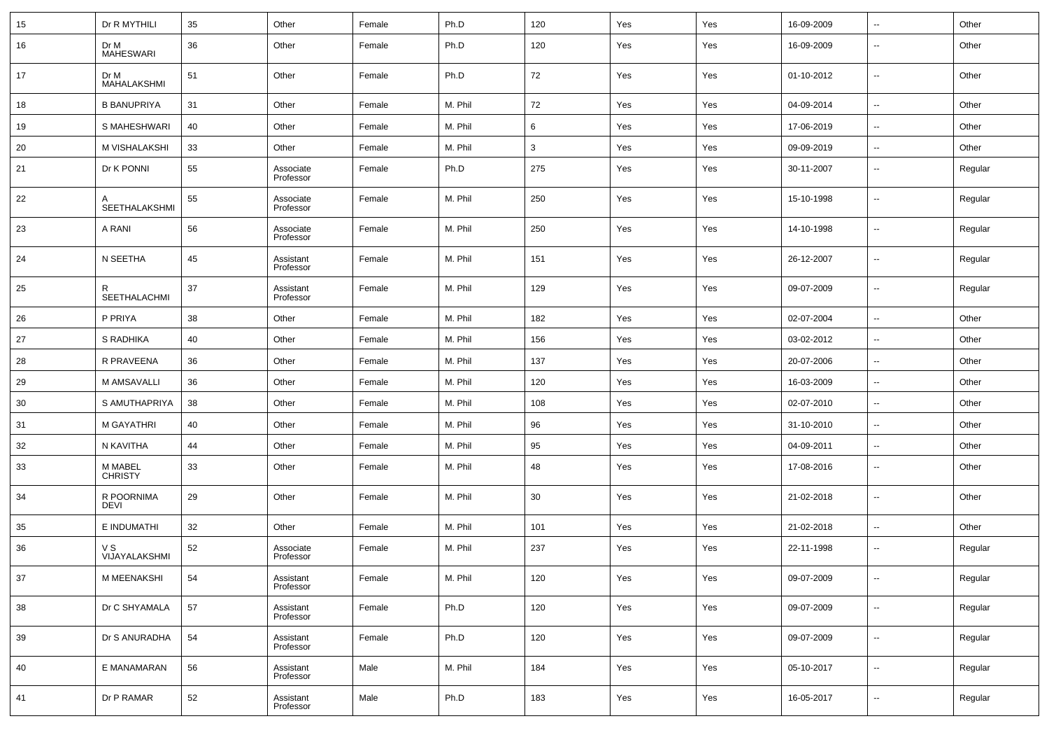| 15 | Dr R MYTHILI              | 35 | Other                  | Female | Ph.D    | 120 | Yes | Yes | 16-09-2009 | $\ddotsc$                    | Other   |
|----|---------------------------|----|------------------------|--------|---------|-----|-----|-----|------------|------------------------------|---------|
| 16 | Dr M<br><b>MAHESWARI</b>  | 36 | Other                  | Female | Ph.D    | 120 | Yes | Yes | 16-09-2009 | $\overline{\phantom{a}}$     | Other   |
| 17 | Dr M<br>MAHALAKSHMI       | 51 | Other                  | Female | Ph.D    | 72  | Yes | Yes | 01-10-2012 | $\overline{\phantom{a}}$     | Other   |
| 18 | <b>B BANUPRIYA</b>        | 31 | Other                  | Female | M. Phil | 72  | Yes | Yes | 04-09-2014 | $\overline{\phantom{a}}$     | Other   |
| 19 | S MAHESHWARI              | 40 | Other                  | Female | M. Phil | 6   | Yes | Yes | 17-06-2019 | $\overline{\phantom{a}}$     | Other   |
| 20 | M VISHALAKSHI             | 33 | Other                  | Female | M. Phil | 3   | Yes | Yes | 09-09-2019 | $\overline{\phantom{a}}$     | Other   |
| 21 | Dr K PONNI                | 55 | Associate<br>Professor | Female | Ph.D    | 275 | Yes | Yes | 30-11-2007 | $\overline{\phantom{a}}$     | Regular |
| 22 | SEETHALAKSHMI             | 55 | Associate<br>Professor | Female | M. Phil | 250 | Yes | Yes | 15-10-1998 | $\overline{\phantom{a}}$     | Regular |
| 23 | A RANI                    | 56 | Associate<br>Professor | Female | M. Phil | 250 | Yes | Yes | 14-10-1998 | $\overline{\phantom{a}}$     | Regular |
| 24 | N SEETHA                  | 45 | Assistant<br>Professor | Female | M. Phil | 151 | Yes | Yes | 26-12-2007 | $\overline{\phantom{a}}$     | Regular |
| 25 | R<br>SEETHALACHMI         | 37 | Assistant<br>Professor | Female | M. Phil | 129 | Yes | Yes | 09-07-2009 | $\overline{\phantom{a}}$     | Regular |
| 26 | P PRIYA                   | 38 | Other                  | Female | M. Phil | 182 | Yes | Yes | 02-07-2004 | $\qquad \qquad \blacksquare$ | Other   |
| 27 | S RADHIKA                 | 40 | Other                  | Female | M. Phil | 156 | Yes | Yes | 03-02-2012 | $\overline{\phantom{a}}$     | Other   |
| 28 | R PRAVEENA                | 36 | Other                  | Female | M. Phil | 137 | Yes | Yes | 20-07-2006 | $\overline{\phantom{a}}$     | Other   |
| 29 | M AMSAVALLI               | 36 | Other                  | Female | M. Phil | 120 | Yes | Yes | 16-03-2009 | $\overline{\phantom{a}}$     | Other   |
| 30 | S AMUTHAPRIYA             | 38 | Other                  | Female | M. Phil | 108 | Yes | Yes | 02-07-2010 | $\sim$                       | Other   |
| 31 | M GAYATHRI                | 40 | Other                  | Female | M. Phil | 96  | Yes | Yes | 31-10-2010 | $\overline{\phantom{a}}$     | Other   |
| 32 | N KAVITHA                 | 44 | Other                  | Female | M. Phil | 95  | Yes | Yes | 04-09-2011 | $\overline{\phantom{a}}$     | Other   |
| 33 | M MABEL<br>CHRISTY        | 33 | Other                  | Female | M. Phil | 48  | Yes | Yes | 17-08-2016 | $\overline{\phantom{a}}$     | Other   |
| 34 | R POORNIMA<br><b>DEVI</b> | 29 | Other                  | Female | M. Phil | 30  | Yes | Yes | 21-02-2018 | $\overline{\phantom{a}}$     | Other   |
| 35 | E INDUMATHI               | 32 | Other                  | Female | M. Phil | 101 | Yes | Yes | 21-02-2018 | $\overline{\phantom{a}}$     | Other   |
| 36 | V S<br>VIJAYALAKSHMI      | 52 | Associate<br>Professor | Female | M. Phil | 237 | Yes | Yes | 22-11-1998 | $\overline{\phantom{a}}$     | Regular |
| 37 | M MEENAKSHI               | 54 | Assistant<br>Professor | Female | M. Phil | 120 | Yes | Yes | 09-07-2009 | $\overline{\phantom{a}}$     | Regular |
| 38 | Dr C SHYAMALA             | 57 | Assistant<br>Professor | Female | Ph.D    | 120 | Yes | Yes | 09-07-2009 | $\overline{\phantom{a}}$     | Regular |
| 39 | Dr S ANURADHA             | 54 | Assistant<br>Professor | Female | Ph.D    | 120 | Yes | Yes | 09-07-2009 | $\overline{\phantom{a}}$     | Regular |
| 40 | E MANAMARAN               | 56 | Assistant<br>Professor | Male   | M. Phil | 184 | Yes | Yes | 05-10-2017 | $\overline{\phantom{a}}$     | Regular |
| 41 | Dr P RAMAR                | 52 | Assistant<br>Professor | Male   | Ph.D    | 183 | Yes | Yes | 16-05-2017 | $\overline{\phantom{a}}$     | Regular |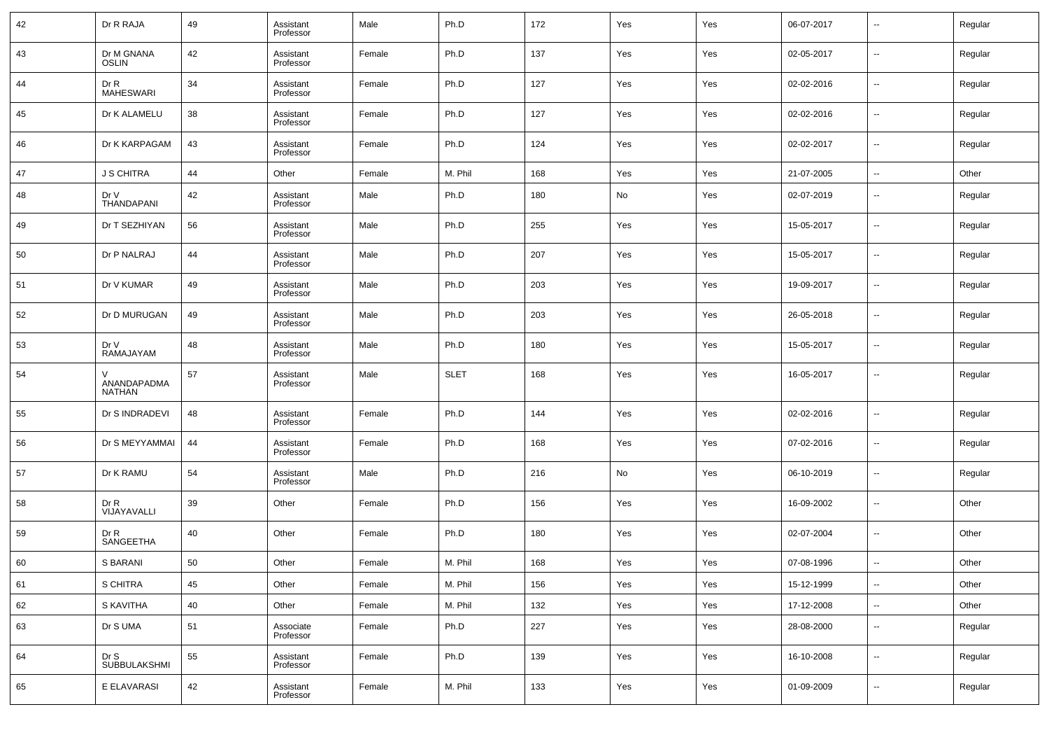| 42 | Dr R RAJA                    | 49 | Assistant<br>Professor | Male   | Ph.D        | 172 | Yes | Yes | 06-07-2017 | $\overline{\phantom{a}}$ | Regular |
|----|------------------------------|----|------------------------|--------|-------------|-----|-----|-----|------------|--------------------------|---------|
| 43 | Dr M GNANA<br><b>OSLIN</b>   | 42 | Assistant<br>Professor | Female | Ph.D        | 137 | Yes | Yes | 02-05-2017 | $\overline{\phantom{a}}$ | Regular |
| 44 | Dr R<br><b>MAHESWARI</b>     | 34 | Assistant<br>Professor | Female | Ph.D        | 127 | Yes | Yes | 02-02-2016 | $\overline{\phantom{a}}$ | Regular |
| 45 | Dr K ALAMELU                 | 38 | Assistant<br>Professor | Female | Ph.D        | 127 | Yes | Yes | 02-02-2016 | $\overline{\phantom{a}}$ | Regular |
| 46 | Dr K KARPAGAM                | 43 | Assistant<br>Professor | Female | Ph.D        | 124 | Yes | Yes | 02-02-2017 | $\overline{\phantom{a}}$ | Regular |
| 47 | <b>J S CHITRA</b>            | 44 | Other                  | Female | M. Phil     | 168 | Yes | Yes | 21-07-2005 | $\overline{\phantom{a}}$ | Other   |
| 48 | Dr V<br>THANDAPANI           | 42 | Assistant<br>Professor | Male   | Ph.D        | 180 | No  | Yes | 02-07-2019 | $\overline{\phantom{a}}$ | Regular |
| 49 | Dr T SEZHIYAN                | 56 | Assistant<br>Professor | Male   | Ph.D        | 255 | Yes | Yes | 15-05-2017 | $\overline{\phantom{a}}$ | Regular |
| 50 | Dr P NALRAJ                  | 44 | Assistant<br>Professor | Male   | Ph.D        | 207 | Yes | Yes | 15-05-2017 | $\overline{\phantom{a}}$ | Regular |
| 51 | Dr V KUMAR                   | 49 | Assistant<br>Professor | Male   | Ph.D        | 203 | Yes | Yes | 19-09-2017 | $\overline{\phantom{a}}$ | Regular |
| 52 | Dr D MURUGAN                 | 49 | Assistant<br>Professor | Male   | Ph.D        | 203 | Yes | Yes | 26-05-2018 | $\overline{\phantom{a}}$ | Regular |
| 53 | Dr V<br>RAMAJAYAM            | 48 | Assistant<br>Professor | Male   | Ph.D        | 180 | Yes | Yes | 15-05-2017 | $\overline{\phantom{a}}$ | Regular |
| 54 | ANANDAPADMA<br><b>NATHAN</b> | 57 | Assistant<br>Professor | Male   | <b>SLET</b> | 168 | Yes | Yes | 16-05-2017 | $\overline{\phantom{a}}$ | Regular |
| 55 | Dr S INDRADEVI               | 48 | Assistant<br>Professor | Female | Ph.D        | 144 | Yes | Yes | 02-02-2016 | $\overline{\phantom{a}}$ | Regular |
| 56 | Dr S MEYYAMMAI               | 44 | Assistant<br>Professor | Female | Ph.D        | 168 | Yes | Yes | 07-02-2016 | $\overline{\phantom{a}}$ | Regular |
| 57 | Dr K RAMU                    | 54 | Assistant<br>Professor | Male   | Ph.D        | 216 | No  | Yes | 06-10-2019 | $\overline{\phantom{a}}$ | Regular |
| 58 | Dr R<br>VIJAYAVALLI          | 39 | Other                  | Female | Ph.D        | 156 | Yes | Yes | 16-09-2002 | $\overline{\phantom{a}}$ | Other   |
| 59 | Dr R<br>SANGEETHA            | 40 | Other                  | Female | Ph.D        | 180 | Yes | Yes | 02-07-2004 | $\overline{\phantom{a}}$ | Other   |
| 60 | S BARANI                     | 50 | Other                  | Female | M. Phil     | 168 | Yes | Yes | 07-08-1996 | $\overline{\phantom{a}}$ | Other   |
| 61 | S CHITRA                     | 45 | Other                  | Female | M. Phil     | 156 | Yes | Yes | 15-12-1999 | $\overline{\phantom{a}}$ | Other   |
| 62 | S KAVITHA                    | 40 | Other                  | Female | M. Phil     | 132 | Yes | Yes | 17-12-2008 | $\overline{\phantom{a}}$ | Other   |
| 63 | Dr S UMA                     | 51 | Associate<br>Professor | Female | Ph.D        | 227 | Yes | Yes | 28-08-2000 | $\overline{\phantom{a}}$ | Regular |
| 64 | Dr S<br><b>SUBBULAKSHMI</b>  | 55 | Assistant<br>Professor | Female | Ph.D        | 139 | Yes | Yes | 16-10-2008 | $\overline{\phantom{a}}$ | Regular |
| 65 | E ELAVARASI                  | 42 | Assistant<br>Professor | Female | M. Phil     | 133 | Yes | Yes | 01-09-2009 | $\overline{\phantom{a}}$ | Regular |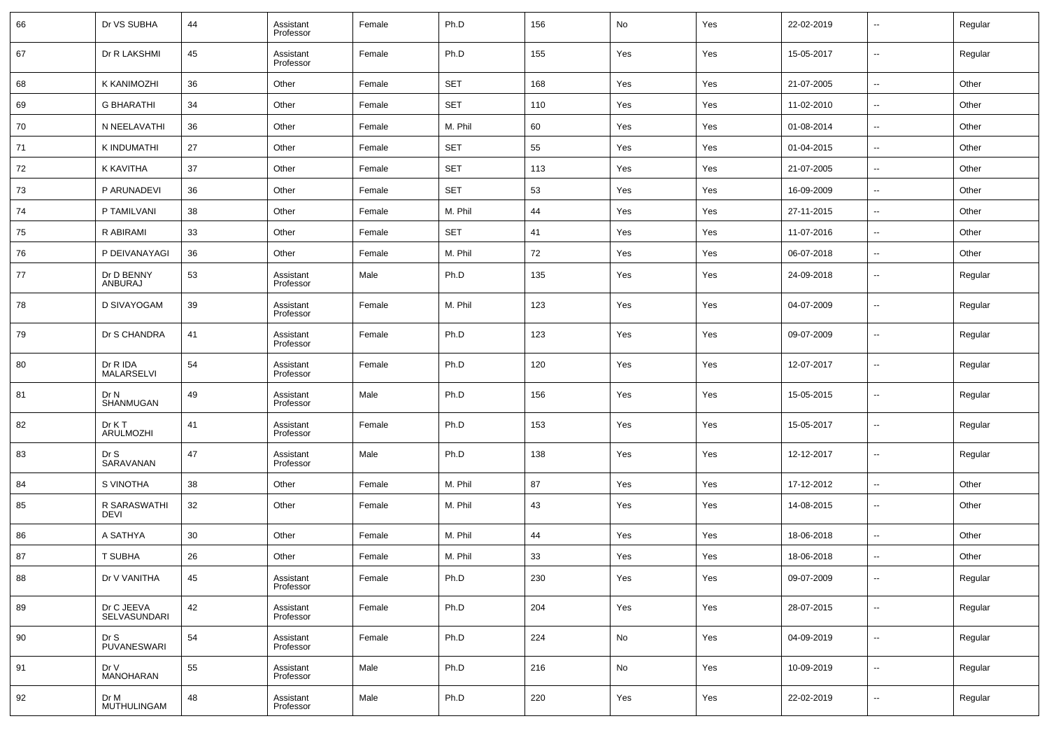| 66 | Dr VS SUBHA                   | 44 | Assistant<br>Professor | Female | Ph.D       | 156 | No  | Yes | 22-02-2019 | $\overline{\phantom{a}}$ | Regular |
|----|-------------------------------|----|------------------------|--------|------------|-----|-----|-----|------------|--------------------------|---------|
| 67 | Dr R LAKSHMI                  | 45 | Assistant<br>Professor | Female | Ph.D       | 155 | Yes | Yes | 15-05-2017 | $\ddotsc$                | Regular |
| 68 | K KANIMOZHI                   | 36 | Other                  | Female | <b>SET</b> | 168 | Yes | Yes | 21-07-2005 | $\sim$                   | Other   |
| 69 | <b>G BHARATHI</b>             | 34 | Other                  | Female | <b>SET</b> | 110 | Yes | Yes | 11-02-2010 | $\overline{\phantom{a}}$ | Other   |
| 70 | N NEELAVATHI                  | 36 | Other                  | Female | M. Phil    | 60  | Yes | Yes | 01-08-2014 | $\sim$                   | Other   |
| 71 | K INDUMATHI                   | 27 | Other                  | Female | <b>SET</b> | 55  | Yes | Yes | 01-04-2015 | $\sim$                   | Other   |
| 72 | K KAVITHA                     | 37 | Other                  | Female | <b>SET</b> | 113 | Yes | Yes | 21-07-2005 | $\overline{\phantom{a}}$ | Other   |
| 73 | P ARUNADEVI                   | 36 | Other                  | Female | <b>SET</b> | 53  | Yes | Yes | 16-09-2009 | $\sim$                   | Other   |
| 74 | P TAMILVANI                   | 38 | Other                  | Female | M. Phil    | 44  | Yes | Yes | 27-11-2015 | $\sim$                   | Other   |
| 75 | R ABIRAMI                     | 33 | Other                  | Female | <b>SET</b> | 41  | Yes | Yes | 11-07-2016 | $\sim$                   | Other   |
| 76 | P DEIVANAYAGI                 | 36 | Other                  | Female | M. Phil    | 72  | Yes | Yes | 06-07-2018 | $\sim$                   | Other   |
| 77 | Dr D BENNY<br>ANBURAJ         | 53 | Assistant<br>Professor | Male   | Ph.D       | 135 | Yes | Yes | 24-09-2018 | $\overline{\phantom{a}}$ | Regular |
| 78 | D SIVAYOGAM                   | 39 | Assistant<br>Professor | Female | M. Phil    | 123 | Yes | Yes | 04-07-2009 | $\overline{\phantom{a}}$ | Regular |
| 79 | Dr S CHANDRA                  | 41 | Assistant<br>Professor | Female | Ph.D       | 123 | Yes | Yes | 09-07-2009 | $\overline{\phantom{a}}$ | Regular |
| 80 | Dr R IDA<br><b>MALARSELVI</b> | 54 | Assistant<br>Professor | Female | Ph.D       | 120 | Yes | Yes | 12-07-2017 | $\sim$                   | Regular |
| 81 | Dr N<br>SHANMUGAN             | 49 | Assistant<br>Professor | Male   | Ph.D       | 156 | Yes | Yes | 15-05-2015 | $\overline{\phantom{a}}$ | Regular |
| 82 | Dr K T<br>ARULMOZHI           | 41 | Assistant<br>Professor | Female | Ph.D       | 153 | Yes | Yes | 15-05-2017 | $\overline{\phantom{a}}$ | Regular |
| 83 | Dr S<br>SARAVANAN             | 47 | Assistant<br>Professor | Male   | Ph.D       | 138 | Yes | Yes | 12-12-2017 | $\sim$                   | Regular |
| 84 | S VINOTHA                     | 38 | Other                  | Female | M. Phil    | 87  | Yes | Yes | 17-12-2012 | $\ddotsc$                | Other   |
| 85 | R SARASWATHI<br>DEVI          | 32 | Other                  | Female | M. Phil    | 43  | Yes | Yes | 14-08-2015 | $\sim$                   | Other   |
| 86 | A SATHYA                      | 30 | Other                  | Female | M. Phil    | 44  | Yes | Yes | 18-06-2018 | $\sim$                   | Other   |
| 87 | <b>T SUBHA</b>                | 26 | Other                  | Female | M. Phil    | 33  | Yes | Yes | 18-06-2018 |                          | Other   |
| 88 | Dr V VANITHA                  | 45 | Assistant<br>Professor | Female | Ph.D       | 230 | Yes | Yes | 09-07-2009 | $\sim$                   | Regular |
| 89 | Dr C JEEVA<br>SELVASUNDARI    | 42 | Assistant<br>Professor | Female | Ph.D       | 204 | Yes | Yes | 28-07-2015 | $\overline{\phantom{a}}$ | Regular |
| 90 | Dr S<br>PUVANESWARI           | 54 | Assistant<br>Professor | Female | Ph.D       | 224 | No  | Yes | 04-09-2019 | $\ddotsc$                | Regular |
| 91 | Dr V<br>MANOHARAN             | 55 | Assistant<br>Professor | Male   | Ph.D       | 216 | No  | Yes | 10-09-2019 | $\ddotsc$                | Regular |
| 92 | Dr M<br>MUTHULINGAM           | 48 | Assistant<br>Professor | Male   | Ph.D       | 220 | Yes | Yes | 22-02-2019 | $\overline{\phantom{a}}$ | Regular |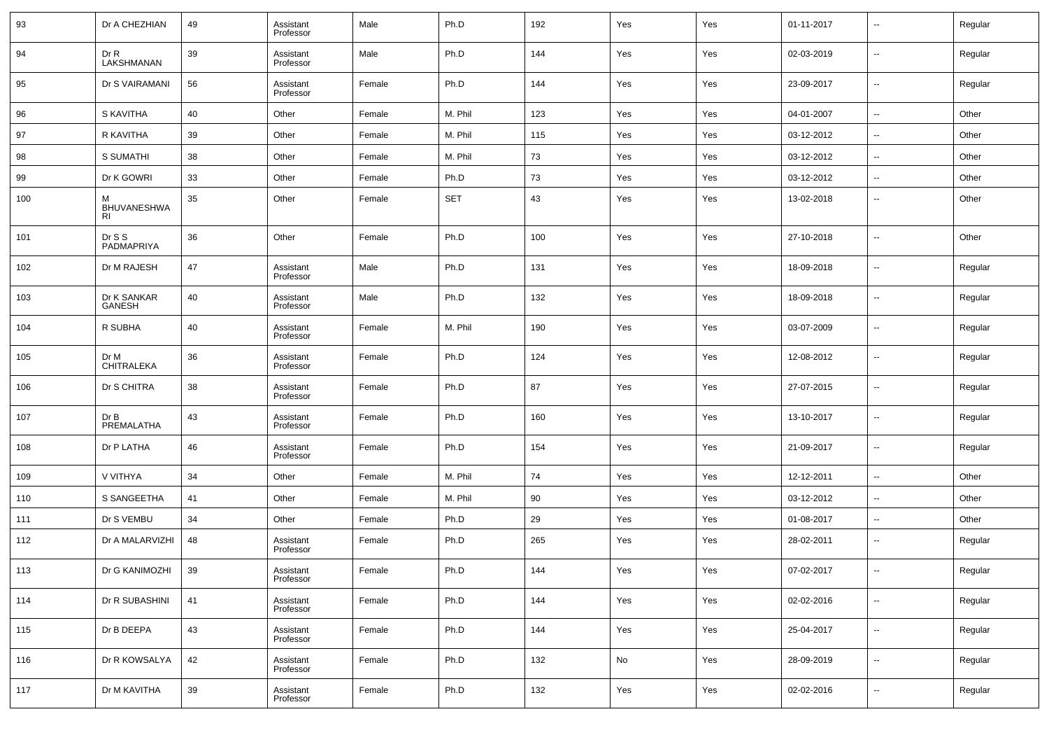| 93  | Dr A CHEZHIAN                        | 49 | Assistant<br>Professor | Male   | Ph.D       | 192 | Yes | Yes | 01-11-2017 | $\overline{\phantom{a}}$ | Regular |
|-----|--------------------------------------|----|------------------------|--------|------------|-----|-----|-----|------------|--------------------------|---------|
| 94  | Dr R<br>LAKSHMANAN                   | 39 | Assistant<br>Professor | Male   | Ph.D       | 144 | Yes | Yes | 02-03-2019 | $\overline{\phantom{a}}$ | Regular |
| 95  | Dr S VAIRAMANI                       | 56 | Assistant<br>Professor | Female | Ph.D       | 144 | Yes | Yes | 23-09-2017 | $\overline{\phantom{a}}$ | Regular |
| 96  | S KAVITHA                            | 40 | Other                  | Female | M. Phil    | 123 | Yes | Yes | 04-01-2007 | $\overline{\phantom{a}}$ | Other   |
| 97  | R KAVITHA                            | 39 | Other                  | Female | M. Phil    | 115 | Yes | Yes | 03-12-2012 | $\overline{\phantom{a}}$ | Other   |
| 98  | S SUMATHI                            | 38 | Other                  | Female | M. Phil    | 73  | Yes | Yes | 03-12-2012 | $\overline{\phantom{a}}$ | Other   |
| 99  | Dr K GOWRI                           | 33 | Other                  | Female | Ph.D       | 73  | Yes | Yes | 03-12-2012 | --                       | Other   |
| 100 | М<br><b>BHUVANESHWA</b><br><b>RI</b> | 35 | Other                  | Female | <b>SET</b> | 43  | Yes | Yes | 13-02-2018 | --                       | Other   |
| 101 | Dr S S<br>PADMAPRIYA                 | 36 | Other                  | Female | Ph.D       | 100 | Yes | Yes | 27-10-2018 | --                       | Other   |
| 102 | Dr M RAJESH                          | 47 | Assistant<br>Professor | Male   | Ph.D       | 131 | Yes | Yes | 18-09-2018 | --                       | Regular |
| 103 | Dr K SANKAR<br>GANESH                | 40 | Assistant<br>Professor | Male   | Ph.D       | 132 | Yes | Yes | 18-09-2018 | --                       | Regular |
| 104 | R SUBHA                              | 40 | Assistant<br>Professor | Female | M. Phil    | 190 | Yes | Yes | 03-07-2009 | --                       | Regular |
| 105 | Dr M<br>CHITRALEKA                   | 36 | Assistant<br>Professor | Female | Ph.D       | 124 | Yes | Yes | 12-08-2012 | --                       | Regular |
| 106 | Dr S CHITRA                          | 38 | Assistant<br>Professor | Female | Ph.D       | 87  | Yes | Yes | 27-07-2015 | --                       | Regular |
| 107 | DrB<br>PREMALATHA                    | 43 | Assistant<br>Professor | Female | Ph.D       | 160 | Yes | Yes | 13-10-2017 | --                       | Regular |
| 108 | Dr P LATHA                           | 46 | Assistant<br>Professor | Female | Ph.D       | 154 | Yes | Yes | 21-09-2017 | --                       | Regular |
| 109 | V VITHYA                             | 34 | Other                  | Female | M. Phil    | 74  | Yes | Yes | 12-12-2011 | $\overline{\phantom{a}}$ | Other   |
| 110 | S SANGEETHA                          | 41 | Other                  | Female | M. Phil    | 90  | Yes | Yes | 03-12-2012 | $\sim$                   | Other   |
| 111 | Dr S VEMBU                           | 34 | Other                  | Female | Ph.D       | 29  | Yes | Yes | 01-08-2017 | --                       | Other   |
| 112 | Dr A MALARVIZHI                      | 48 | Assistant<br>Professor | Female | Ph.D       | 265 | Yes | Yes | 28-02-2011 | $\sim$                   | Regular |
| 113 | Dr G KANIMOZHI                       | 39 | Assistant<br>Professor | Female | Ph.D       | 144 | Yes | Yes | 07-02-2017 |                          | Regular |
| 114 | Dr R SUBASHINI                       | 41 | Assistant<br>Professor | Female | Ph.D       | 144 | Yes | Yes | 02-02-2016 | $\overline{\phantom{a}}$ | Regular |
| 115 | Dr B DEEPA                           | 43 | Assistant<br>Professor | Female | Ph.D       | 144 | Yes | Yes | 25-04-2017 | ц.                       | Regular |
| 116 | Dr R KOWSALYA                        | 42 | Assistant<br>Professor | Female | Ph.D       | 132 | No  | Yes | 28-09-2019 | $\overline{\phantom{a}}$ | Regular |
| 117 | Dr M KAVITHA                         | 39 | Assistant<br>Professor | Female | Ph.D       | 132 | Yes | Yes | 02-02-2016 | $\overline{\phantom{a}}$ | Regular |